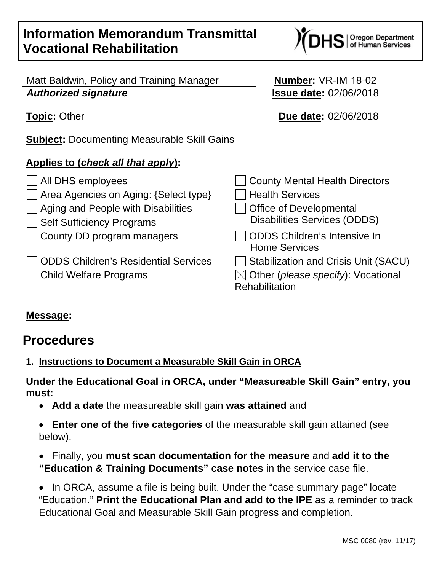# **Information Memorandum Transmittal Vocational Rehabilitation**

Matt Baldwin, Policy and Training Manager *Authorized signature*

**Subject:** Documenting Measurable Skill Gains

# **Applies to (***check all that apply***):**

 $\Box$  All DHS employees Area Agencies on Aging: {Seled **Aging and People with Disabiliti Self Sufficiency Programs**  $\Box$  County DD program managers ODDS Children's Residential Services Stabilization and CDDS Children's Residential S **Child Welfare Programs** 

| $ct type\}$<br>ies | County Mental Health Directors<br><b>Health Services</b><br><b>Office of Developmental</b><br><b>Disabilities Services (ODDS)</b> |
|--------------------|-----------------------------------------------------------------------------------------------------------------------------------|
|                    | <b>ODDS Children's Intensive In</b><br><b>Home Services</b>                                                                       |
| ervices            | <b>Stabilization and Crisis Unit (SACU)</b><br>$\boxtimes$ Other (please specify): Vocational<br><b>Rehabilitation</b>            |
|                    |                                                                                                                                   |

# **Message:**

# **Procedures**

# <span id="page-0-0"></span>**1. Instructions to Document a Measurable Skill Gain in ORCA**

**Under the Educational Goal in ORCA, under "Measureable Skill Gain" entry, you must:**

- **Add a date** the measureable skill gain **was attained** and
- **Enter one of the five categories** of the measurable skill gain attained (see below).
- Finally, you **must scan documentation for the measure** and **add it to the "Education & Training Documents" case notes** in the service case file.

• In ORCA, assume a file is being built. Under the "case summary page" locate "Education." **Print the Educational Plan and add to the IPE** as a reminder to track Educational Goal and Measurable Skill Gain progress and completion.

S | Oregon Department<br>S | of Human Services

**Number:** VR-IM 18-02 **Issue date:** 02/06/2018

**Topic:** Other **Due date:** 02/06/2018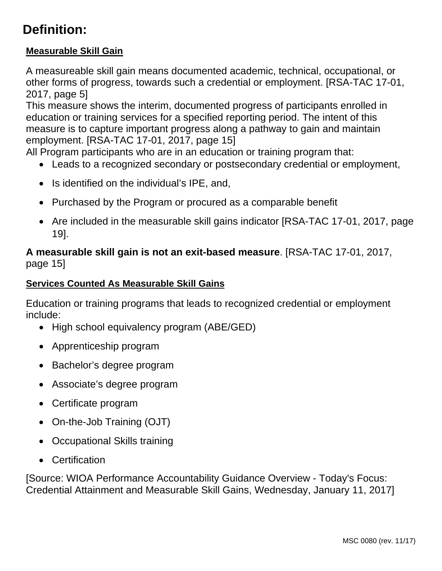# **Definition:**

# **Measurable Skill Gain**

A measureable skill gain means documented academic, technical, occupational, or other forms of progress, towards such a credential or employment. [RSA-TAC 17-01, 2017, page 5]

This measure shows the interim, documented progress of participants enrolled in education or training services for a specified reporting period. The intent of this measure is to capture important progress along a pathway to gain and maintain employment. [RSA-TAC 17-01, 2017, page 15]

All Program participants who are in an education or training program that:

- Leads to a recognized secondary or postsecondary credential or employment,
- Is identified on the individual's IPE, and,
- Purchased by the Program or procured as a comparable benefit
- Are included in the measurable skill gains indicator [RSA-TAC 17-01, 2017, page 19].

# **A measurable skill gain is not an exit-based measure**. [RSA-TAC 17-01, 2017, page 15]

#### <span id="page-1-0"></span>**Services Counted As Measurable Skill Gains**

Education or training programs that leads to recognized credential or employment include:

- High school equivalency program (ABE/GED)
- Apprenticeship program
- Bachelor's degree program
- Associate's degree program
- Certificate program
- On-the-Job Training (OJT)
- Occupational Skills training
- Certification

[Source: WIOA Performance Accountability Guidance Overview - Today's Focus: Credential Attainment and Measurable Skill Gains, Wednesday, January 11, 2017]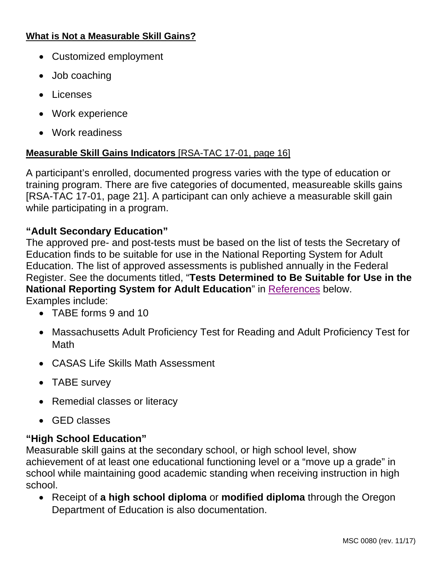#### <span id="page-2-0"></span>**What is Not a Measurable Skill Gains?**

- Customized employment
- Job coaching
- Licenses
- Work experience
- Work readiness

#### **Measurable Skill Gains Indicators** [RSA-TAC 17-01, page 16]

A participant's enrolled, documented progress varies with the type of education or training program. There are five categories of documented, measureable skills gains [RSA-TAC 17-01, page 21]. A participant can only achieve a measurable skill gain while participating in a program.

# **"Adult Secondary Education"**

The approved pre- and post-tests must be based on the list of tests the Secretary of Education finds to be suitable for use in the National Reporting System for Adult Education. The list of approved assessments is published annually in the Federal Register. See the documents titled, "**Tests Determined to Be Suitable for Use in the National Reporting System for Adult Education**" in [References](#page-6-0) below.

Examples include:

- TABE forms 9 and 10
- Massachusetts Adult Proficiency Test for Reading and Adult Proficiency Test for Math
- CASAS Life Skills Math Assessment
- TABE survey
- Remedial classes or literacy
- GED classes

## **"High School Education"**

Measurable skill gains at the secondary school, or high school level, show achievement of at least one educational functioning level or a "move up a grade" in school while maintaining good academic standing when receiving instruction in high school.

• Receipt of **a high school diploma** or **modified diploma** through the Oregon Department of Education is also documentation.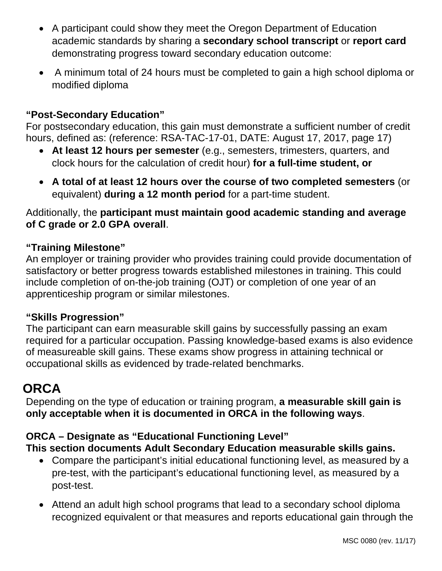- A participant could show they meet the Oregon Department of Education academic standards by sharing a **secondary school transcript** or **report card** demonstrating progress toward secondary education outcome:
- A minimum total of 24 hours must be completed to gain a high school diploma or modified diploma

# **"Post-Secondary Education"**

For postsecondary education, this gain must demonstrate a sufficient number of credit hours, defined as: (reference: RSA-TAC-17-01, DATE: August 17, 2017, page 17)

- **At least 12 hours per semester** (e.g., semesters, trimesters, quarters, and clock hours for the calculation of credit hour) **for a full-time student, or**
- **A total of at least 12 hours over the course of two completed semesters** (or equivalent) **during a 12 month period** for a part-time student.

Additionally, the **participant must maintain good academic standing and average of C grade or 2.0 GPA overall**.

# **"Training Milestone"**

An employer or training provider who provides training could provide documentation of satisfactory or better progress towards established milestones in training. This could include completion of on-the-job training (OJT) or completion of one year of an apprenticeship program or similar milestones.

## **"Skills Progression"**

The participant can earn measurable skill gains by successfully passing an exam required for a particular occupation. Passing knowledge-based exams is also evidence of measureable skill gains. These exams show progress in attaining technical or occupational skills as evidenced by trade-related benchmarks.

# **ORCA**

Depending on the type of education or training program, **a measurable skill gain is only acceptable when it is documented in ORCA in the following ways**.

# **ORCA – Designate as "Educational Functioning Level"**

**This section documents Adult Secondary Education measurable skills gains.**

- Compare the participant's initial educational functioning level, as measured by a pre-test, with the participant's educational functioning level, as measured by a post-test.
- Attend an adult high school programs that lead to a secondary school diploma recognized equivalent or that measures and reports educational gain through the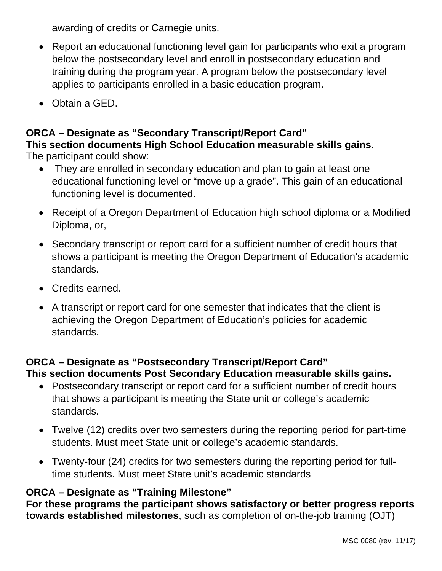awarding of credits or Carnegie units.

- Report an educational functioning level gain for participants who exit a program below the postsecondary level and enroll in postsecondary education and training during the program year. A program below the postsecondary level applies to participants enrolled in a basic education program.
- Obtain a GED.

# **ORCA – Designate as "Secondary Transcript/Report Card" This section documents High School Education measurable skills gains.**

The participant could show:

- They are enrolled in secondary education and plan to gain at least one educational functioning level or "move up a grade". This gain of an educational functioning level is documented.
- Receipt of a Oregon Department of Education high school diploma or a Modified Diploma, or,
- Secondary transcript or report card for a sufficient number of credit hours that shows a participant is meeting the Oregon Department of Education's academic standards.
- Credits earned.
- A transcript or report card for one semester that indicates that the client is achieving the Oregon Department of Education's policies for academic standards.

# **ORCA – Designate as "Postsecondary Transcript/Report Card" This section documents Post Secondary Education measurable skills gains.**

- Postsecondary transcript or report card for a sufficient number of credit hours that shows a participant is meeting the State unit or college's academic standards.
- Twelve (12) credits over two semesters during the reporting period for part-time students. Must meet State unit or college's academic standards.
- Twenty-four (24) credits for two semesters during the reporting period for fulltime students. Must meet State unit's academic standards

# **ORCA – Designate as "Training Milestone"**

**For these programs the participant shows satisfactory or better progress reports towards established milestones**, such as completion of on-the-job training (OJT)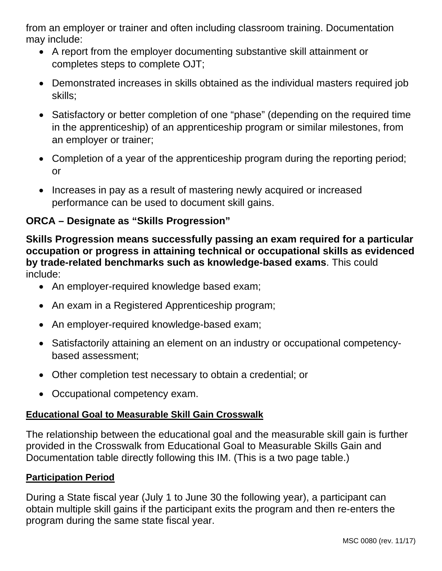from an employer or trainer and often including classroom training. Documentation may include:

- A report from the employer documenting substantive skill attainment or completes steps to complete OJT;
- Demonstrated increases in skills obtained as the individual masters required job skills;
- Satisfactory or better completion of one "phase" (depending on the required time in the apprenticeship) of an apprenticeship program or similar milestones, from an employer or trainer;
- Completion of a year of the apprenticeship program during the reporting period; or
- Increases in pay as a result of mastering newly acquired or increased performance can be used to document skill gains.

# **ORCA – Designate as "Skills Progression"**

**Skills Progression means successfully passing an exam required for a particular occupation or progress in attaining technical or occupational skills as evidenced by trade-related benchmarks such as knowledge-based exams**. This could include:

- An employer-required knowledge based exam;
- An exam in a Registered Apprenticeship program;
- An employer-required knowledge-based exam;
- Satisfactorily attaining an element on an industry or occupational competencybased assessment;
- Other completion test necessary to obtain a credential; or
- Occupational competency exam.

## **Educational Goal to Measurable Skill Gain Crosswalk**

The relationship between the educational goal and the measurable skill gain is further provided in the Crosswalk from Educational Goal to Measurable Skills Gain and Documentation table directly following this IM. (This is a two page table.)

## **Participation Period**

During a State fiscal year (July 1 to June 30 the following year), a participant can obtain multiple skill gains if the participant exits the program and then re-enters the program during the same state fiscal year.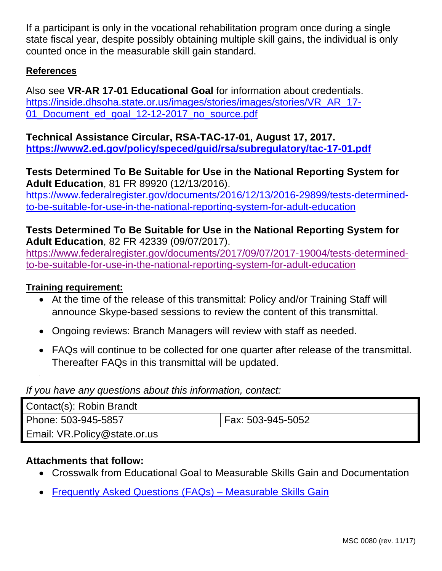If a participant is only in the vocational rehabilitation program once during a single state fiscal year, despite possibly obtaining multiple skill gains, the individual is only counted once in the measurable skill gain standard.

#### <span id="page-6-0"></span>**References**

Also see **VR-AR 17-01 Educational Goal** for information about credentials. [https://inside.dhsoha.state.or.us/images/stories/images/stories/VR\\_AR\\_17-](https://inside.dhsoha.state.or.us/images/stories/images/stories/VR_AR_17-01_Document_ed_goal_12-12-2017_no_source.pdf) [01\\_Document\\_ed\\_goal\\_12-12-2017\\_no\\_source.pdf](https://inside.dhsoha.state.or.us/images/stories/images/stories/VR_AR_17-01_Document_ed_goal_12-12-2017_no_source.pdf)

**Technical Assistance Circular, RSA-TAC-17-01, August 17, 2017. <https://www2.ed.gov/policy/speced/guid/rsa/subregulatory/tac-17-01.pdf>**

**Tests Determined To Be Suitable for Use in the National Reporting System for Adult Education**, 81 FR 89920 (12/13/2016). [https://www.federalregister.gov/documents/2016/12/13/2016-29899/tests-determined](https://www.federalregister.gov/documents/2016/12/13/2016-29899/tests-determined-to-be-suitable-for-use-in-the-national-reporting-system-for-adult-education)[to-be-suitable-for-use-in-the-national-reporting-system-for-adult-education](https://www.federalregister.gov/documents/2016/12/13/2016-29899/tests-determined-to-be-suitable-for-use-in-the-national-reporting-system-for-adult-education)

## **Tests Determined To Be Suitable for Use in the National Reporting System for Adult Education**, 82 FR 42339 (09/07/2017).

[https://www.federalregister.gov/documents/2017/09/07/2017-19004/tests-determined](https://www.federalregister.gov/documents/2017/09/07/2017-19004/tests-determined-to-be-suitable-for-use-in-the-national-reporting-system-for-adult-education)[to-be-suitable-for-use-in-the-national-reporting-system-for-adult-education](https://www.federalregister.gov/documents/2017/09/07/2017-19004/tests-determined-to-be-suitable-for-use-in-the-national-reporting-system-for-adult-education)

#### **Training requirement:**

- At the time of the release of this transmittal: Policy and/or Training Staff will announce Skype-based sessions to review the content of this transmittal.
- Ongoing reviews: Branch Managers will review with staff as needed.
- FAQs will continue to be collected for one quarter after release of the transmittal. Thereafter FAQs in this transmittal will be updated.

#### *If you have any questions about this information, contact:*

| Contact(s): Robin Brandt     |                   |
|------------------------------|-------------------|
| Phone: 503-945-5857          | Fax: 503-945-5052 |
| Email: VR.Policy@state.or.us |                   |

## **Attachments that follow:**

- Crosswalk from Educational Goal to Measurable Skills Gain and Documentation
- Frequently Asked Questions (FAQs) Measurable Skills Gain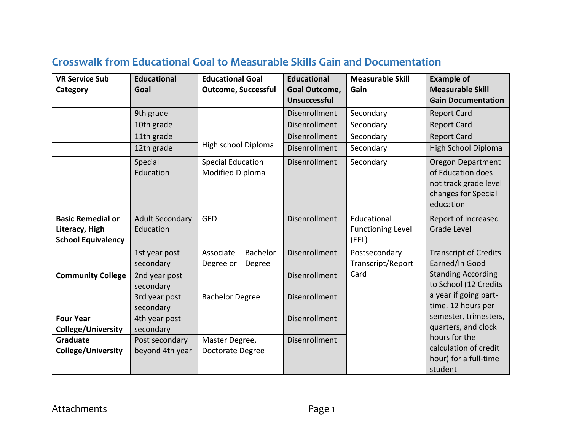| <b>VR Service Sub</b><br>Category                                       | <b>Educational</b><br>Goal          | <b>Educational Goal</b><br><b>Outcome, Successful</b> |                    | <b>Educational</b><br>Goal Outcome,<br><b>Unsuccessful</b> | <b>Measurable Skill</b><br>Gain                  | <b>Example of</b><br><b>Measurable Skill</b><br><b>Gain Documentation</b>                                  |
|-------------------------------------------------------------------------|-------------------------------------|-------------------------------------------------------|--------------------|------------------------------------------------------------|--------------------------------------------------|------------------------------------------------------------------------------------------------------------|
|                                                                         | 9th grade                           |                                                       |                    | Disenrollment                                              | Secondary                                        | <b>Report Card</b>                                                                                         |
|                                                                         | 10th grade                          | High school Diploma                                   |                    | Disenrollment                                              | Secondary                                        | <b>Report Card</b>                                                                                         |
|                                                                         | 11th grade                          |                                                       |                    | Disenrollment                                              | Secondary                                        | <b>Report Card</b>                                                                                         |
|                                                                         | 12th grade                          |                                                       |                    | Disenrollment                                              | Secondary                                        | <b>High School Diploma</b>                                                                                 |
|                                                                         | Special<br>Education                | <b>Special Education</b><br><b>Modified Diploma</b>   |                    | Disenrollment                                              | Secondary                                        | <b>Oregon Department</b><br>of Education does<br>not track grade level<br>changes for Special<br>education |
| <b>Basic Remedial or</b><br>Literacy, High<br><b>School Equivalency</b> | <b>Adult Secondary</b><br>Education | <b>GED</b>                                            |                    | Disenrollment                                              | Educational<br><b>Functioning Level</b><br>(EFL) | Report of Increased<br><b>Grade Level</b>                                                                  |
|                                                                         | 1st year post<br>secondary          | Associate<br>Degree or                                | Bachelor<br>Degree | Disenrollment                                              | Postsecondary<br>Transcript/Report               | <b>Transcript of Credits</b><br>Earned/In Good                                                             |
| <b>Community College</b>                                                | 2nd year post<br>secondary          |                                                       |                    | Disenrollment                                              | Card                                             | <b>Standing According</b><br>to School (12 Credits                                                         |
|                                                                         | 3rd year post<br>secondary          | <b>Bachelor Degree</b>                                |                    | Disenrollment                                              |                                                  | a year if going part-<br>time. 12 hours per                                                                |
| <b>Four Year</b>                                                        | 4th year post                       |                                                       |                    | Disenrollment                                              |                                                  | semester, trimesters,                                                                                      |
| <b>College/University</b>                                               | secondary                           |                                                       |                    |                                                            |                                                  | quarters, and clock                                                                                        |
| Graduate                                                                | Post secondary                      | Master Degree,                                        |                    | Disenrollment                                              |                                                  | hours for the                                                                                              |
| <b>College/University</b>                                               | beyond 4th year                     | Doctorate Degree                                      |                    |                                                            |                                                  | calculation of credit<br>hour) for a full-time<br>student                                                  |

# **Crosswalk from Educational Goal to Measurable Skills Gain and Documentation**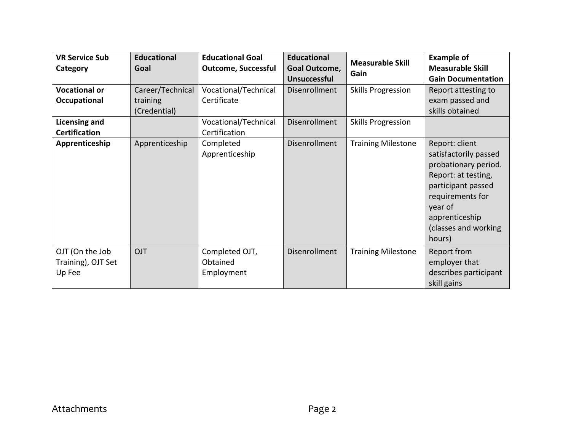| <b>VR Service Sub</b><br>Category               | <b>Educational</b><br>Goal                   | <b>Educational Goal</b><br><b>Outcome, Successful</b> | <b>Educational</b><br><b>Goal Outcome,</b><br><b>Unsuccessful</b> | <b>Measurable Skill</b><br>Gain | <b>Example of</b><br><b>Measurable Skill</b><br><b>Gain Documentation</b>                                                                                                                       |
|-------------------------------------------------|----------------------------------------------|-------------------------------------------------------|-------------------------------------------------------------------|---------------------------------|-------------------------------------------------------------------------------------------------------------------------------------------------------------------------------------------------|
| <b>Vocational or</b><br>Occupational            | Career/Technical<br>training<br>(Credential) | Vocational/Technical<br>Certificate                   | Disenrollment                                                     | <b>Skills Progression</b>       | Report attesting to<br>exam passed and<br>skills obtained                                                                                                                                       |
| <b>Licensing and</b><br><b>Certification</b>    |                                              | Vocational/Technical<br>Certification                 | <b>Disenrollment</b>                                              | <b>Skills Progression</b>       |                                                                                                                                                                                                 |
| Apprenticeship                                  | Apprenticeship                               | Completed<br>Apprenticeship                           | Disenrollment                                                     | <b>Training Milestone</b>       | Report: client<br>satisfactorily passed<br>probationary period.<br>Report: at testing,<br>participant passed<br>requirements for<br>year of<br>apprenticeship<br>(classes and working<br>hours) |
| OJT (On the Job<br>Training), OJT Set<br>Up Fee | OJT                                          | Completed OJT,<br>Obtained<br>Employment              | Disenrollment                                                     | <b>Training Milestone</b>       | Report from<br>employer that<br>describes participant<br>skill gains                                                                                                                            |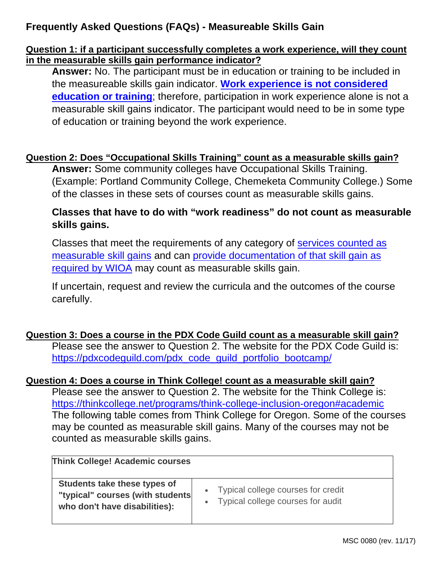# **Frequently Asked Questions (FAQs) - Measureable Skills Gain**

#### **Question 1: if a participant successfully completes a work experience, will they count in the measurable skills gain performance indicator?**

**Answer:** No. The participant must be in education or training to be included in the measureable skills gain indicator. **[Work experience is not considered](#page-2-0)  [education or training](#page-2-0)**; therefore, participation in work experience alone is not a measurable skill gains indicator. The participant would need to be in some type of education or training beyond the work experience.

#### **Question 2: Does "Occupational Skills Training" count as a measurable skills gain?**

**Answer:** Some community colleges have Occupational Skills Training. (Example: Portland Community College, Chemeketa Community College.) Some of the classes in these sets of courses count as measurable skills gains.

#### **Classes that have to do with "work readiness" do not count as measurable skills gains.**

Classes that meet the requirements of any category of [services counted as](#page-1-0)  [measurable skill gains](#page-1-0) and can [provide documentation of that skill gain as](#page-0-0)  [required by WIOA](#page-0-0) may count as measurable skills gain.

If uncertain, request and review the curricula and the outcomes of the course carefully.

## **Question 3: Does a course in the PDX Code Guild count as a measurable skill gain?**

Please see the answer to Question 2. The website for the PDX Code Guild is: [https://pdxcodeguild.com/pdx\\_code\\_guild\\_portfolio\\_bootcamp/](https://pdxcodeguild.com/pdx_code_guild_portfolio_bootcamp/)

#### **Question 4: Does a course in Think College! count as a measurable skill gain?**

Please see the answer to Question 2. The website for the Think College is: <https://thinkcollege.net/programs/think-college-inclusion-oregon#academic> The following table comes from Think College for Oregon. Some of the courses may be counted as measurable skill gains. Many of the courses may not be counted as measurable skills gains.

| <b>Think College! Academic courses</b>                                                            |                                                                             |
|---------------------------------------------------------------------------------------------------|-----------------------------------------------------------------------------|
| Students take these types of<br>"typical" courses (with students<br>who don't have disabilities): | • Typical college courses for credit<br>• Typical college courses for audit |